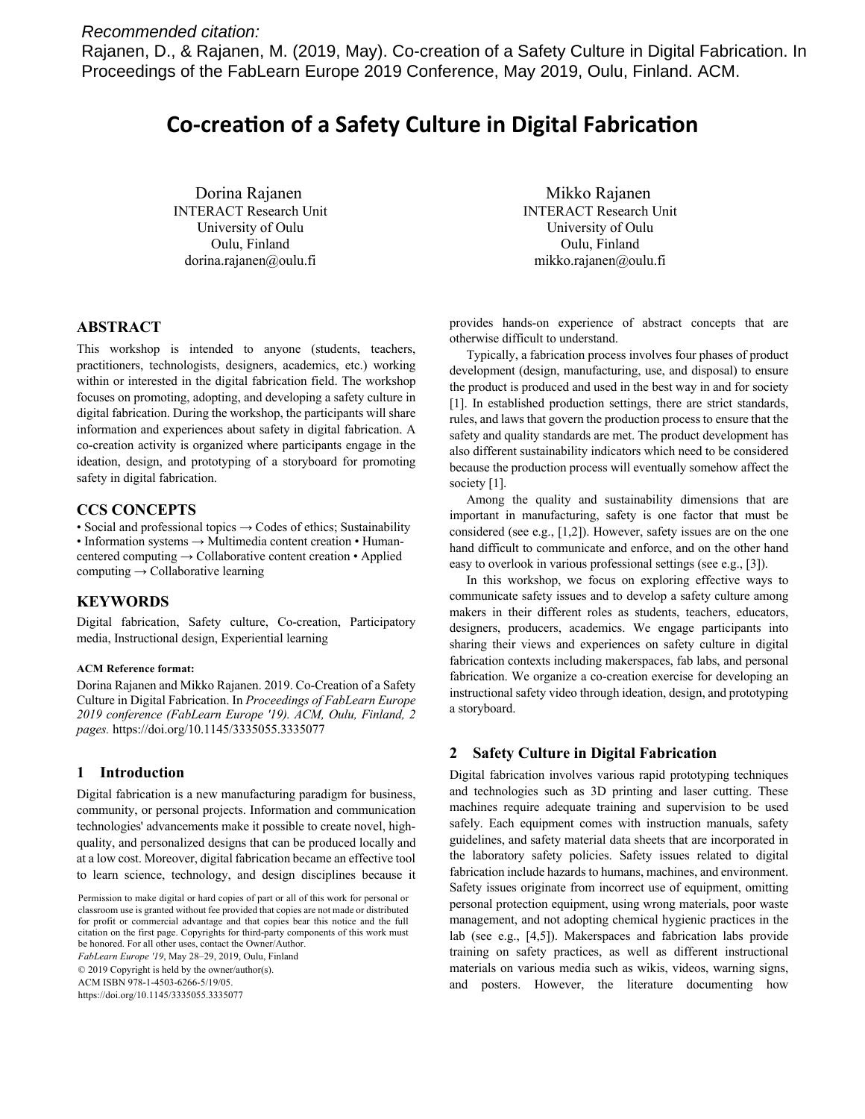# *Recommended citation:*

Rajanen, D., & Rajanen, M. (2019, May). Co-creation of a Safety Culture in Digital Fabrication. In Proceedings of the FabLearn Europe 2019 Conference, May 2019, Oulu, Finland. ACM.

# **Co-creation of a Safety Culture in Digital Fabrication**

Dorina Rajanen INTERACT Research Unit University of Oulu Oulu, Finland dorina.rajanen@oulu.fi

Mikko Rajanen INTERACT Research Unit University of Oulu Oulu, Finland mikko.rajanen@oulu.fi

# **ABSTRACT**

This workshop is intended to anyone (students, teachers, practitioners, technologists, designers, academics, etc.) working within or interested in the digital fabrication field. The workshop focuses on promoting, adopting, and developing a safety culture in digital fabrication. During the workshop, the participants will share information and experiences about safety in digital fabrication. A co-creation activity is organized where participants engage in the ideation, design, and prototyping of a storyboard for promoting safety in digital fabrication.

#### **CCS CONCEPTS**

• Social and professional topics → Codes of ethics; Sustainability • Information systems → Multimedia content creation • Humancentered computing  $\rightarrow$  Collaborative content creation • Applied computing  $\rightarrow$  Collaborative learning

#### **KEYWORDS**

Digital fabrication, Safety culture, Co-creation, Participatory media, Instructional design, Experiential learning

#### **ACM Reference format:**

Dorina Rajanen and Mikko Rajanen. 2019. Co-Creation of a Safety Culture in Digital Fabrication. In *Proceedings of FabLearn Europe 2019 conference (FabLearn Europe '19). ACM, Oulu, Finland, 2 pages.* https://doi.org/10.1145/3335055.3335077

#### **1 Introduction**

Digital fabrication is a new manufacturing paradigm for business, community, or personal projects. Information and communication technologies' advancements make it possible to create novel, highquality, and personalized designs that can be produced locally and at a low cost. Moreover, digital fabrication became an effective tool to learn science, technology, and design disciplines because it

*FabLearn Europe '19*, May 28–29, 2019, Oulu, Finland

© 2019 Copyright is held by the owner/author(s).

ACM ISBN 978-1-4503-6266-5/19/05.

https://doi.org/10.1145/3335055.3335077

provides hands-on experience of abstract concepts that are otherwise difficult to understand.

Typically, a fabrication process involves four phases of product development (design, manufacturing, use, and disposal) to ensure the product is produced and used in the best way in and for society [1]. In established production settings, there are strict standards, rules, and laws that govern the production process to ensure that the safety and quality standards are met. The product development has also different sustainability indicators which need to be considered because the production process will eventually somehow affect the society [1].

Among the quality and sustainability dimensions that are important in manufacturing, safety is one factor that must be considered (see e.g., [1,2]). However, safety issues are on the one hand difficult to communicate and enforce, and on the other hand easy to overlook in various professional settings (see e.g., [3]).

In this workshop, we focus on exploring effective ways to communicate safety issues and to develop a safety culture among makers in their different roles as students, teachers, educators, designers, producers, academics. We engage participants into sharing their views and experiences on safety culture in digital fabrication contexts including makerspaces, fab labs, and personal fabrication. We organize a co-creation exercise for developing an instructional safety video through ideation, design, and prototyping a storyboard.

# **2 Safety Culture in Digital Fabrication**

Digital fabrication involves various rapid prototyping techniques and technologies such as 3D printing and laser cutting. These machines require adequate training and supervision to be used safely. Each equipment comes with instruction manuals, safety guidelines, and safety material data sheets that are incorporated in the laboratory safety policies. Safety issues related to digital fabrication include hazards to humans, machines, and environment. Safety issues originate from incorrect use of equipment, omitting personal protection equipment, using wrong materials, poor waste management, and not adopting chemical hygienic practices in the lab (see e.g., [4,5]). Makerspaces and fabrication labs provide training on safety practices, as well as different instructional materials on various media such as wikis, videos, warning signs, and posters. However, the literature documenting how

Permission to make digital or hard copies of part or all of this work for personal or classroom use is granted without fee provided that copies are not made or distributed for profit or commercial advantage and that copies bear this notice and the full citation on the first page. Copyrights for third-party components of this work must be honored. For all other uses, contact the Owner/Author.